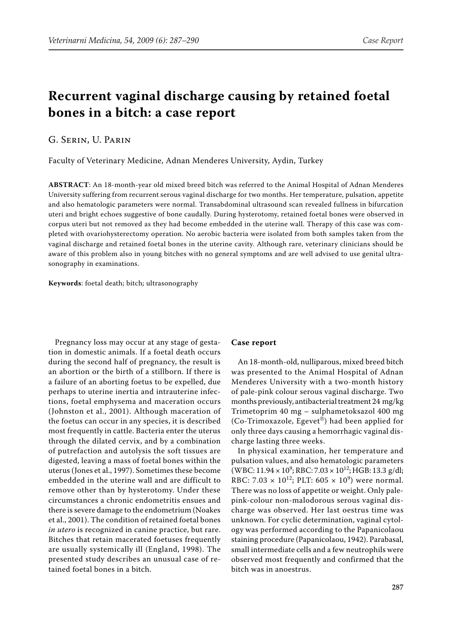## **Recurrent vaginal discharge causing by retained foetal bones in a bitch: a case report**

G. Serin, U. Parin

Faculty of Veterinary Medicine, Adnan Menderes University, Aydin, Turkey

**ABSTRACT**: An 18-month-year old mixed breed bitch was referred to the Animal Hospital of Adnan Menderes University suffering from recurrent serous vaginal discharge for two months. Her temperature, pulsation, appetite and also hematologic parameters were normal. Transabdominal ultrasound scan revealed fullness in bifurcation uteri and bright echoes suggestive of bone caudally. During hysterotomy, retained foetal bones were observed in corpus uteri but not removed as they had become embedded in the uterine wall. Therapy of this case was completed with ovariohysterectomy operation. No aerobic bacteria were isolated from both samples taken from the vaginal discharge and retained foetal bones in the uterine cavity. Although rare, veterinary clinicians should be aware of this problem also in young bitches with no general symptoms and are well advised to use genital ultrasonography in examinations.

**Keywords**: foetal death; bitch; ultrasonography

Pregnancy loss may occur at any stage of gestation in domestic animals. If a foetal death occurs during the second half of pregnancy, the result is an abortion or the birth of a stillborn. If there is a failure of an aborting foetus to be expelled, due perhaps to uterine inertia and intrauterine infections, foetal emphysema and maceration occurs (Johnston et al., 2001). Although maceration of the foetus can occur in any species, it is described most frequently in cattle. Bacteria enter the uterus through the dilated cervix, and by a combination of putrefaction and autolysis the soft tissues are digested, leaving a mass of foetal bones within the uterus (Jones et al., 1997). Sometimes these become embedded in the uterine wall and are difficult to remove other than by hysterotomy. Under these circumstances a chronic endometritis ensues and there is severe damage to the endometrium (Noakes et al., 2001). The condition of retained foetal bones *in utero* is recognized in canine practice, but rare. Bitches that retain macerated foetuses frequently are usually systemically ill (England, 1998). The presented study describes an unusual case of retained foetal bones in a bitch.

## **Case report**

An 18-month-old, nulliparous, mixed breed bitch was presented to the Animal Hospital of Adnan Menderes University with a two-month history of pale-pink colour serous vaginal discharge. Two months previously, antibacterial treatment 24 mg/kg Trimetoprim 40 mg – sulphametoksazol 400 mg (Co-Trimoxazole, Egevet®) had been applied for only three days causing a hemorrhagic vaginal discharge lasting three weeks.

In physical examination, her temperature and pulsation values, and also hematologic parameters  $(WBC: 11.94 \times 10^9; RBC: 7.03 \times 10^{12}; HGB: 13.3 \text{ g/dl};$ RBC: 7.03  $\times$  10<sup>12</sup>; PLT: 605  $\times$  10<sup>9</sup>) were normal. There was no loss of appetite or weight. Only palepink-colour non-malodorous serous vaginal discharge was observed. Her last oestrus time was unknown. For cyclic determination, vaginal cytology was performed according to the Papanicolaou staining procedure (Papanicolaou, 1942). Parabasal, small intermediate cells and a few neutrophils were observed most frequently and confirmed that the bitch was in anoestrus.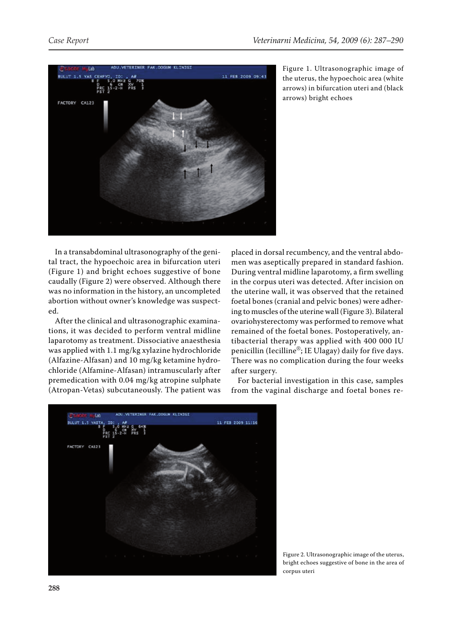

Figure 1. Ultrasonographic image of the uterus, the hypoechoic area (white arrows) in bifurcation uteri and (black arrows) bright echoes

In a transabdominal ultrasonography of the genital tract, the hypoechoic area in bifurcation uteri (Figure 1) and bright echoes suggestive of bone caudally (Figure 2) were observed. Although there was no information in the history, an uncompleted abortion without owner's knowledge was suspected.

After the clinical and ultrasonographic examinations, it was decided to perform ventral midline laparotomy as treatment. Dissociative anaesthesia was applied with 1.1 mg/kg xylazine hydrochloride (Alfazine-Alfasan) and 10 mg/kg ketamine hydrochloride (Alfamine-Alfasan) intramuscularly after premedication with 0.04 mg/kg atropine sulphate (Atropan-Vetas) subcutaneously. The patient was

placed in dorsal recumbency, and the ventral abdomen was aseptically prepared in standard fashion. During ventral midline laparotomy, a firm swelling in the corpus uteri was detected. After incision on the uterine wall, it was observed that the retained foetal bones (cranial and pelvic bones) were adhering to muscles of the uterine wall (Figure 3). Bilateral ovariohysterectomy was performed to remove what remained of the foetal bones. Postoperatively, antibacterial therapy was applied with 400 000 IU penicillin (Iecilline®; IE Ulagay) daily for five days. There was no complication during the four weeks after surgery.

For bacterial investigation in this case, samples from the vaginal discharge and foetal bones re-



Figure 2. Ultrasonographic image of the uterus, bright echoes suggestive of bone in the area of corpus uteri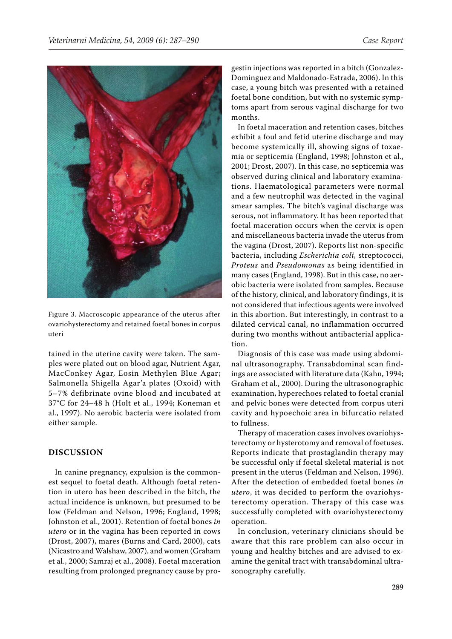

Figure 3. Macroscopic appearance of the uterus after ovariohysterectomy and retained foetal bones in corpus uteri

tained in the uterine cavity were taken. The samples were plated out on blood agar, Nutrient Agar, MacConkey Agar, Eosin Methylen Blue Agar; Salmonella Shigella Agar'a plates (Oxoid) with 5–7% defibrinate ovine blood and incubated at 37°C for 24–48 h (Holt et al., 1994; Koneman et al., 1997). No aerobic bacteria were isolated from either sample.

## **DISCUSSION**

In canine pregnancy, expulsion is the commonest sequel to foetal death. Although foetal retention in utero has been described in the bitch, the actual incidence is unknown, but presumed to be low (Feldman and Nelson, 1996; England, 1998; Johnston et al., 2001). Retention of foetal bones *in utero* or in the vagina has been reported in cows (Drost, 2007), mares (Burns and Card, 2000), cats (Nicastro and Walshaw, 2007), and women (Graham et al., 2000; Samraj et al., 2008). Foetal maceration resulting from prolonged pregnancy cause by progestin injections was reported in a bitch (Gonzalez-Dominguez and Maldonado-Estrada, 2006). In this case, a young bitch was presented with a retained foetal bone condition, but with no systemic symptoms apart from serous vaginal discharge for two months.

In foetal maceration and retention cases, bitches exhibit a foul and fetid uterine discharge and may become systemically ill, showing signs of toxaemia or septicemia (England, 1998; Johnston et al., 2001; Drost, 2007). In this case, no septicemia was observed during clinical and laboratory examinations. Haematological parameters were normal and a few neutrophil was detected in the vaginal smear samples. The bitch's vaginal discharge was serous, not inflammatory. It has been reported that foetal maceration occurs when the cervix is open and miscellaneous bacteria invade the uterus from the vagina (Drost, 2007). Reports list non-specific bacteria, including *Escherichia coli,* streptococci, *Proteus* and *Pseudomonas* as being identified in many cases (England, 1998). But in this case, no aerobic bacteria were isolated from samples. Because of the history, clinical, and laboratory findings, it is not considered that infectious agents were involved in this abortion. But interestingly, in contrast to a dilated cervical canal, no inflammation occurred during two months without antibacterial application.

Diagnosis of this case was made using abdominal ultrasonography. Transabdominal scan findings are associated with literature data (Kahn, 1994; Graham et al., 2000). During the ultrasonographic examination, hyperechoes related to foetal cranial and pelvic bones were detected from corpus uteri cavity and hypoechoic area in bifurcatio related to fullness.

Therapy of maceration cases involves ovariohysterectomy or hysterotomy and removal of foetuses. Reports indicate that prostaglandin therapy may be successful only if foetal skeletal material is not present in the uterus (Feldman and Nelson, 1996). After the detection of embedded foetal bones *in utero*, it was decided to perform the ovariohysterectomy operation. Therapy of this case was successfully completed with ovariohysterectomy operation.

In conclusion, veterinary clinicians should be aware that this rare problem can also occur in young and healthy bitches and are advised to examine the genital tract with transabdominal ultrasonography carefully.